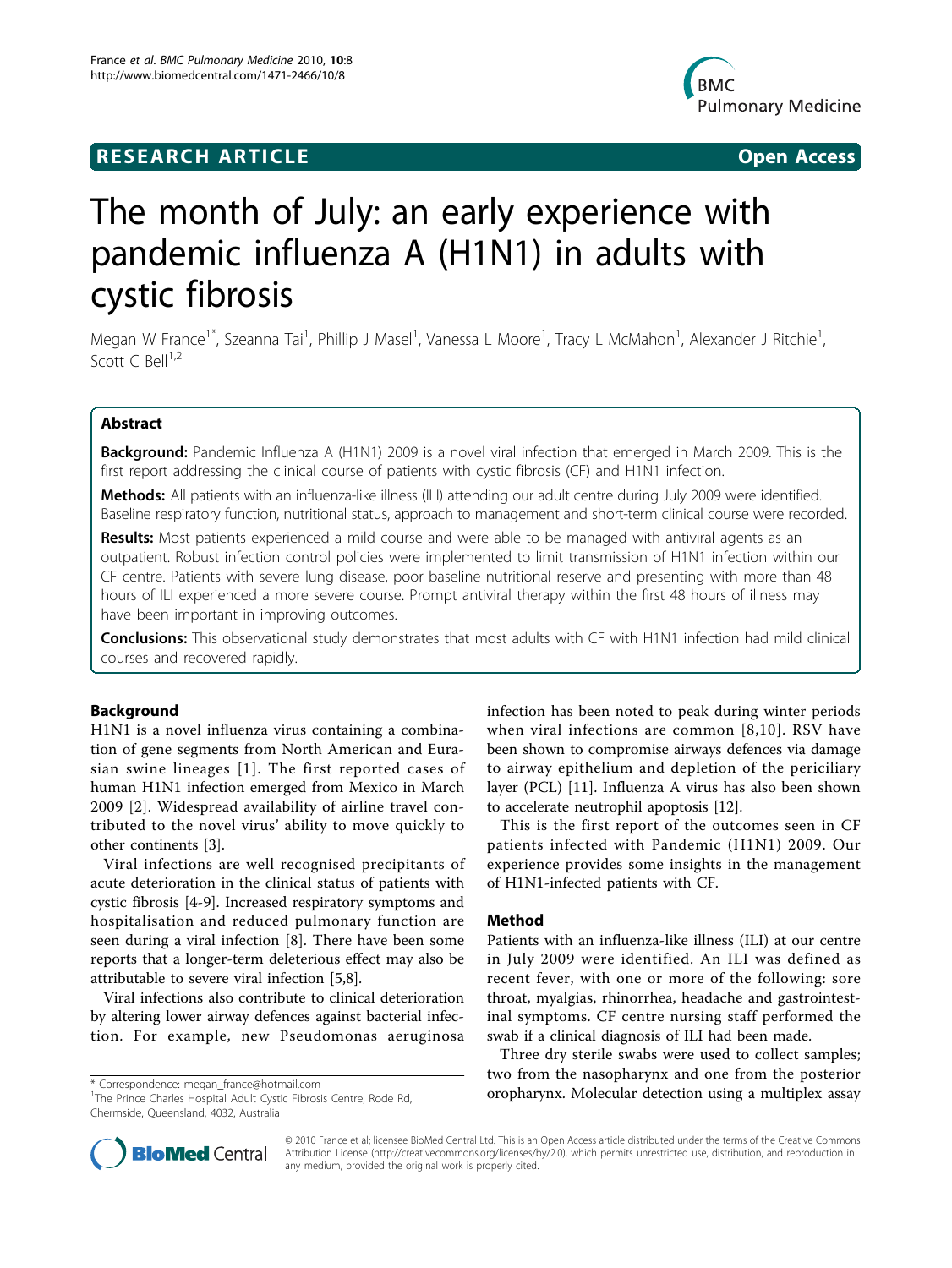## **RESEARCH ARTICLE CONSUMING ACCESS**



# The month of July: an early experience with pandemic influenza A (H1N1) in adults with cystic fibrosis

Megan W France<sup>1\*</sup>, Szeanna Tai<sup>1</sup>, Phillip J Masel<sup>1</sup>, Vanessa L Moore<sup>1</sup>, Tracy L McMahon<sup>1</sup>, Alexander J Ritchie<sup>1</sup> , Scott C Bell $1,2$ 

## Abstract

**Background:** Pandemic Influenza A (H1N1) 2009 is a novel viral infection that emerged in March 2009. This is the first report addressing the clinical course of patients with cystic fibrosis (CF) and H1N1 infection.

Methods: All patients with an influenza-like illness (ILI) attending our adult centre during July 2009 were identified. Baseline respiratory function, nutritional status, approach to management and short-term clinical course were recorded.

Results: Most patients experienced a mild course and were able to be managed with antiviral agents as an outpatient. Robust infection control policies were implemented to limit transmission of H1N1 infection within our CF centre. Patients with severe lung disease, poor baseline nutritional reserve and presenting with more than 48 hours of ILI experienced a more severe course. Prompt antiviral therapy within the first 48 hours of illness may have been important in improving outcomes.

Conclusions: This observational study demonstrates that most adults with CF with H1N1 infection had mild clinical courses and recovered rapidly.

## Background

H1N1 is a novel influenza virus containing a combination of gene segments from North American and Eurasian swine lineages [[1](#page-2-0)]. The first reported cases of human H1N1 infection emerged from Mexico in March 2009 [[2](#page-2-0)]. Widespread availability of airline travel contributed to the novel virus' ability to move quickly to other continents [[3](#page-2-0)].

Viral infections are well recognised precipitants of acute deterioration in the clinical status of patients with cystic fibrosis [[4-9](#page-2-0)]. Increased respiratory symptoms and hospitalisation and reduced pulmonary function are seen during a viral infection [[8\]](#page-2-0). There have been some reports that a longer-term deleterious effect may also be attributable to severe viral infection [\[5,8](#page-2-0)].

Viral infections also contribute to clinical deterioration by altering lower airway defences against bacterial infection. For example, new Pseudomonas aeruginosa infection has been noted to peak during winter periods when viral infections are common [[8,10\]](#page-2-0). RSV have been shown to compromise airways defences via damage to airway epithelium and depletion of the periciliary layer (PCL) [[11](#page-2-0)]. Influenza A virus has also been shown to accelerate neutrophil apoptosis [[12](#page-3-0)].

This is the first report of the outcomes seen in CF patients infected with Pandemic (H1N1) 2009. Our experience provides some insights in the management of H1N1-infected patients with CF.

## Method

Patients with an influenza-like illness (ILI) at our centre in July 2009 were identified. An ILI was defined as recent fever, with one or more of the following: sore throat, myalgias, rhinorrhea, headache and gastrointestinal symptoms. CF centre nursing staff performed the swab if a clinical diagnosis of ILI had been made.

Three dry sterile swabs were used to collect samples; two from the nasopharynx and one from the posterior \* Correspondence: [megan\\_france@hotmail.com](mailto:megan_france@hotmail.com)<br><sup>1</sup>The Prince Charles Hospital Adult Cystic Eibrosis Centre, Rode Rd<br>**Orropharynx. Molecular detection using a multiplex assay** 



© 2010 France et al; licensee BioMed Central Ltd. This is an Open Access article distributed under the terms of the Creative Commons Attribution License [\(http://creativecommons.org/licenses/by/2.0](http://creativecommons.org/licenses/by/2.0)), which permits unrestricted use, distribution, and reproduction in any medium, provided the original work is properly cited.

<sup>&</sup>lt;sup>1</sup>The Prince Charles Hospital Adult Cystic Fibrosis Centre, Rode Rd, Chermside, Queensland, 4032, Australia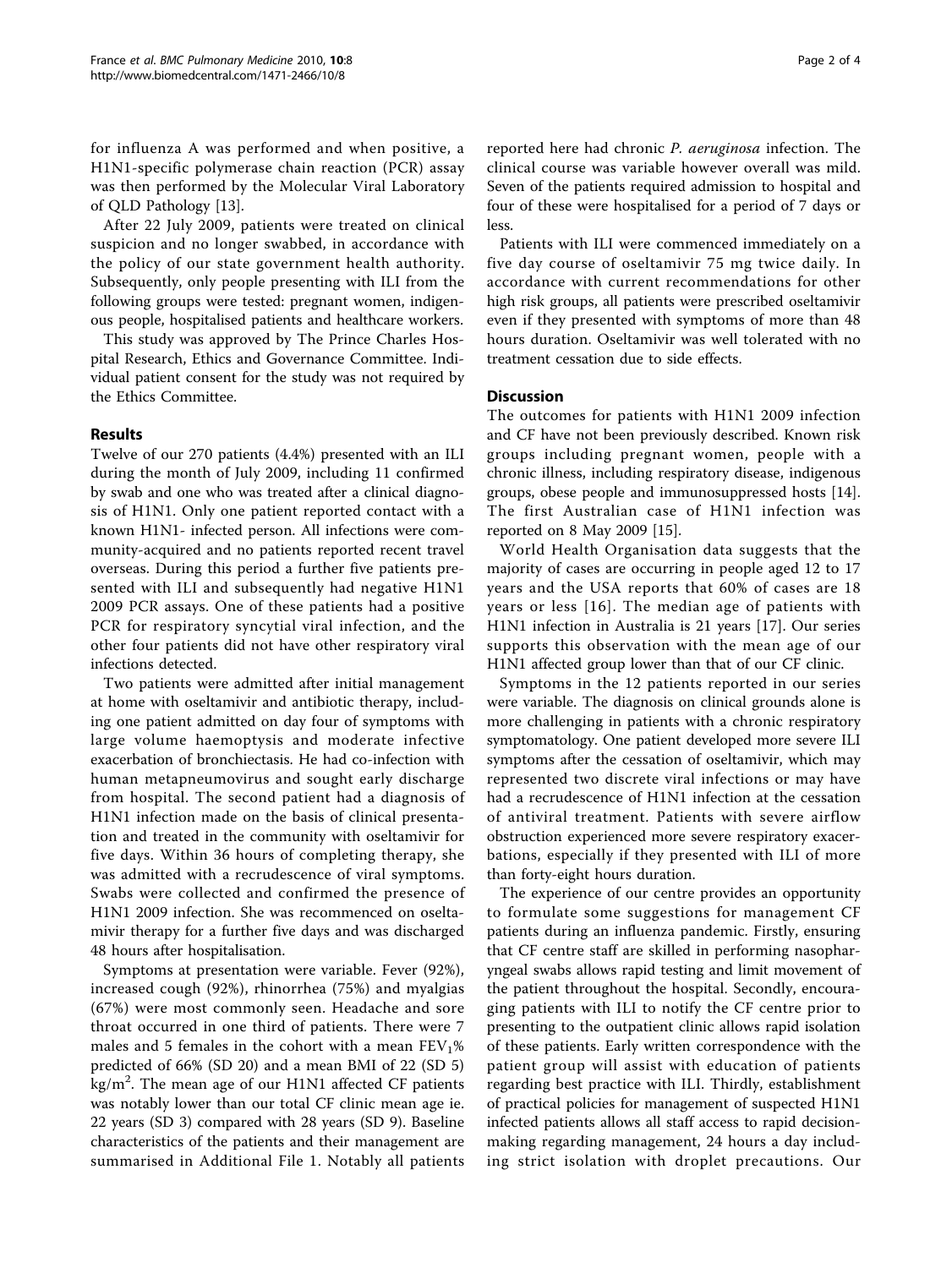for influenza A was performed and when positive, a H1N1-specific polymerase chain reaction (PCR) assay was then performed by the Molecular Viral Laboratory of QLD Pathology [[13\]](#page-3-0).

After 22 July 2009, patients were treated on clinical suspicion and no longer swabbed, in accordance with the policy of our state government health authority. Subsequently, only people presenting with ILI from the following groups were tested: pregnant women, indigenous people, hospitalised patients and healthcare workers.

This study was approved by The Prince Charles Hospital Research, Ethics and Governance Committee. Individual patient consent for the study was not required by the Ethics Committee.

## Results

Twelve of our 270 patients (4.4%) presented with an ILI during the month of July 2009, including 11 confirmed by swab and one who was treated after a clinical diagnosis of H1N1. Only one patient reported contact with a known H1N1- infected person. All infections were community-acquired and no patients reported recent travel overseas. During this period a further five patients presented with ILI and subsequently had negative H1N1 2009 PCR assays. One of these patients had a positive PCR for respiratory syncytial viral infection, and the other four patients did not have other respiratory viral infections detected.

Two patients were admitted after initial management at home with oseltamivir and antibiotic therapy, including one patient admitted on day four of symptoms with large volume haemoptysis and moderate infective exacerbation of bronchiectasis. He had co-infection with human metapneumovirus and sought early discharge from hospital. The second patient had a diagnosis of H1N1 infection made on the basis of clinical presentation and treated in the community with oseltamivir for five days. Within 36 hours of completing therapy, she was admitted with a recrudescence of viral symptoms. Swabs were collected and confirmed the presence of H1N1 2009 infection. She was recommenced on oseltamivir therapy for a further five days and was discharged 48 hours after hospitalisation.

Symptoms at presentation were variable. Fever (92%), increased cough (92%), rhinorrhea (75%) and myalgias (67%) were most commonly seen. Headache and sore throat occurred in one third of patients. There were 7 males and 5 females in the cohort with a mean  $FEV<sub>1</sub>%$ predicted of 66% (SD 20) and a mean BMI of 22 (SD 5) kg/m<sup>2</sup>. The mean age of our H1N1 affected CF patients was notably lower than our total CF clinic mean age ie. 22 years (SD 3) compared with 28 years (SD 9). Baseline characteristics of the patients and their management are summarised in Additional File [1.](#page-2-0) Notably all patients reported here had chronic P. aeruginosa infection. The clinical course was variable however overall was mild. Seven of the patients required admission to hospital and four of these were hospitalised for a period of 7 days or less.

Patients with ILI were commenced immediately on a five day course of oseltamivir 75 mg twice daily. In accordance with current recommendations for other high risk groups, all patients were prescribed oseltamivir even if they presented with symptoms of more than 48 hours duration. Oseltamivir was well tolerated with no treatment cessation due to side effects.

### **Discussion**

The outcomes for patients with H1N1 2009 infection and CF have not been previously described. Known risk groups including pregnant women, people with a chronic illness, including respiratory disease, indigenous groups, obese people and immunosuppressed hosts [\[14](#page-3-0)]. The first Australian case of H1N1 infection was reported on 8 May 2009 [\[15](#page-3-0)].

World Health Organisation data suggests that the majority of cases are occurring in people aged 12 to 17 years and the USA reports that 60% of cases are 18 years or less [[16\]](#page-3-0). The median age of patients with H1N1 infection in Australia is 21 years [[17](#page-3-0)]. Our series supports this observation with the mean age of our H1N1 affected group lower than that of our CF clinic.

Symptoms in the 12 patients reported in our series were variable. The diagnosis on clinical grounds alone is more challenging in patients with a chronic respiratory symptomatology. One patient developed more severe ILI symptoms after the cessation of oseltamivir, which may represented two discrete viral infections or may have had a recrudescence of H1N1 infection at the cessation of antiviral treatment. Patients with severe airflow obstruction experienced more severe respiratory exacerbations, especially if they presented with ILI of more than forty-eight hours duration.

The experience of our centre provides an opportunity to formulate some suggestions for management CF patients during an influenza pandemic. Firstly, ensuring that CF centre staff are skilled in performing nasopharyngeal swabs allows rapid testing and limit movement of the patient throughout the hospital. Secondly, encouraging patients with ILI to notify the CF centre prior to presenting to the outpatient clinic allows rapid isolation of these patients. Early written correspondence with the patient group will assist with education of patients regarding best practice with ILI. Thirdly, establishment of practical policies for management of suspected H1N1 infected patients allows all staff access to rapid decisionmaking regarding management, 24 hours a day including strict isolation with droplet precautions. Our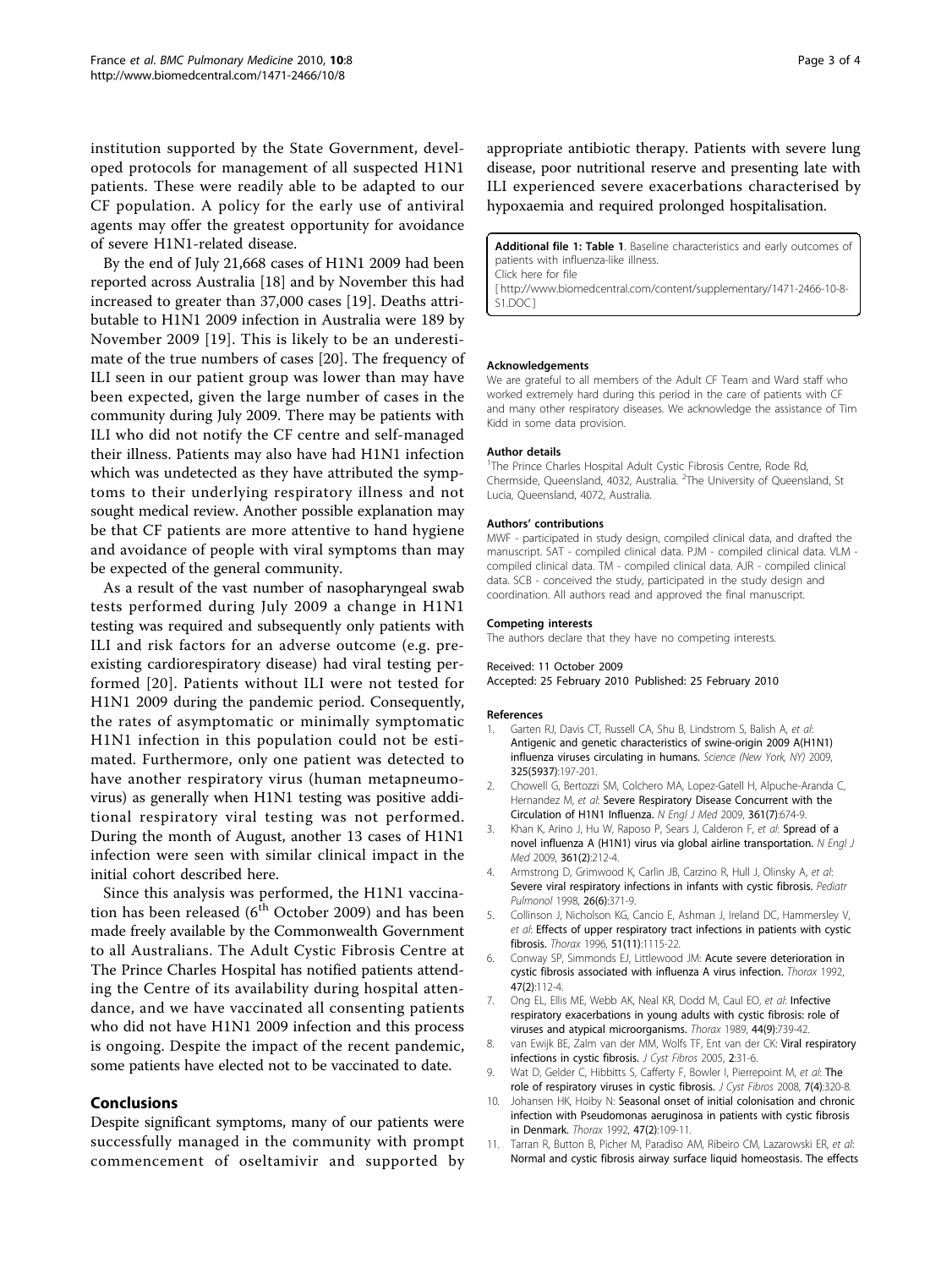<span id="page-2-0"></span>institution supported by the State Government, developed protocols for management of all suspected H1N1 patients. These were readily able to be adapted to our CF population. A policy for the early use of antiviral agents may offer the greatest opportunity for avoidance of severe H1N1-related disease.

By the end of July 21,668 cases of H1N1 2009 had been reported across Australia [[18\]](#page-3-0) and by November this had increased to greater than 37,000 cases [[19\]](#page-3-0). Deaths attributable to H1N1 2009 infection in Australia were 189 by November 2009 [[19\]](#page-3-0). This is likely to be an underestimate of the true numbers of cases [\[20](#page-3-0)]. The frequency of ILI seen in our patient group was lower than may have been expected, given the large number of cases in the community during July 2009. There may be patients with ILI who did not notify the CF centre and self-managed their illness. Patients may also have had H1N1 infection which was undetected as they have attributed the symptoms to their underlying respiratory illness and not sought medical review. Another possible explanation may be that CF patients are more attentive to hand hygiene and avoidance of people with viral symptoms than may be expected of the general community.

As a result of the vast number of nasopharyngeal swab tests performed during July 2009 a change in H1N1 testing was required and subsequently only patients with ILI and risk factors for an adverse outcome (e.g. preexisting cardiorespiratory disease) had viral testing performed [[20](#page-3-0)]. Patients without ILI were not tested for H1N1 2009 during the pandemic period. Consequently, the rates of asymptomatic or minimally symptomatic H1N1 infection in this population could not be estimated. Furthermore, only one patient was detected to have another respiratory virus (human metapneumovirus) as generally when H1N1 testing was positive additional respiratory viral testing was not performed. During the month of August, another 13 cases of H1N1 infection were seen with similar clinical impact in the initial cohort described here.

Since this analysis was performed, the H1N1 vaccination has been released  $(6<sup>th</sup> October 2009)$  and has been made freely available by the Commonwealth Government to all Australians. The Adult Cystic Fibrosis Centre at The Prince Charles Hospital has notified patients attending the Centre of its availability during hospital attendance, and we have vaccinated all consenting patients who did not have H1N1 2009 infection and this process is ongoing. Despite the impact of the recent pandemic, some patients have elected not to be vaccinated to date.

## Conclusions

Despite significant symptoms, many of our patients were successfully managed in the community with prompt commencement of oseltamivir and supported by appropriate antibiotic therapy. Patients with severe lung disease, poor nutritional reserve and presenting late with ILI experienced severe exacerbations characterised by hypoxaemia and required prolonged hospitalisation.

Additional file 1: Table 1. Baseline characteristics and early outcomes of patients with influenza-like illness. Click here for file

[ http://www.biomedcentral.com/content/supplementary/1471-2466-10-8- S1.DOC ]

#### Acknowledgements

We are grateful to all members of the Adult CF Team and Ward staff who worked extremely hard during this period in the care of patients with CF and many other respiratory diseases. We acknowledge the assistance of Tim Kidd in some data provision.

#### Author details

<sup>1</sup>The Prince Charles Hospital Adult Cystic Fibrosis Centre, Rode Rd Chermside, Queensland, 4032, Australia. <sup>2</sup>The University of Queensland, St Lucia, Queensland, 4072, Australia.

#### Authors' contributions

MWF - participated in study design, compiled clinical data, and drafted the manuscript. SAT - compiled clinical data. PJM - compiled clinical data. VLM compiled clinical data. TM - compiled clinical data. AJR - compiled clinical data. SCB - conceived the study, participated in the study design and coordination. All authors read and approved the final manuscript.

#### Competing interests

The authors declare that they have no competing interests.

#### Received: 11 October 2009

Accepted: 25 February 2010 Published: 25 February 2010

#### References

- 1. Garten RJ, Davis CT, Russell CA, Shu B, Lindstrom S, Balish A, et al: Antigenic and genetic characteristics of swine-origin 2009 A(H1N1) influenza viruses circulating in humans. Science (New York, NY) 2009, 325(5937):197-201.
- 2. Chowell G, Bertozzi SM, Colchero MA, Lopez-Gatell H, Alpuche-Aranda C, Hernandez M, et al: [Severe Respiratory Disease Concurrent with the](http://www.ncbi.nlm.nih.gov/pubmed/19564633?dopt=Abstract) [Circulation of H1N1 Influenza.](http://www.ncbi.nlm.nih.gov/pubmed/19564633?dopt=Abstract) N Engl J Med 2009, 361(7):674-9.
- 3. Khan K, Arino J, Hu W, Raposo P, Sears J, Calderon F, et al: [Spread of a](http://www.ncbi.nlm.nih.gov/pubmed/19564630?dopt=Abstract) [novel influenza A \(H1N1\) virus via global airline transportation.](http://www.ncbi.nlm.nih.gov/pubmed/19564630?dopt=Abstract) N Engl J Med 2009, 361(2):212-4.
- 4. Armstrong D, Grimwood K, Carlin JB, Carzino R, Hull J, Olinsky A, et al: [Severe viral respiratory infections in infants with cystic fibrosis.](http://www.ncbi.nlm.nih.gov/pubmed/9888211?dopt=Abstract) Pediatr Pulmonol 1998, 26(6):371-9.
- 5. Collinson J, Nicholson KG, Cancio E, Ashman J, Ireland DC, Hammersley V, et al: [Effects of upper respiratory tract infections in patients with cystic](http://www.ncbi.nlm.nih.gov/pubmed/8958895?dopt=Abstract) [fibrosis.](http://www.ncbi.nlm.nih.gov/pubmed/8958895?dopt=Abstract) Thorax 1996, 51(11):1115-22.
- 6. Conway SP, Simmonds EJ, Littlewood JM: [Acute severe deterioration in](http://www.ncbi.nlm.nih.gov/pubmed/1549818?dopt=Abstract) [cystic fibrosis associated with influenza A virus infection.](http://www.ncbi.nlm.nih.gov/pubmed/1549818?dopt=Abstract) Thorax 1992, 47(2):112-4.
- 7. Ong EL, Ellis ME, Webb AK, Neal KR, Dodd M, Caul EO, et al: [Infective](http://www.ncbi.nlm.nih.gov/pubmed/2588211?dopt=Abstract) [respiratory exacerbations in young adults with cystic fibrosis: role of](http://www.ncbi.nlm.nih.gov/pubmed/2588211?dopt=Abstract) [viruses and atypical microorganisms.](http://www.ncbi.nlm.nih.gov/pubmed/2588211?dopt=Abstract) Thorax 1989, 44(9):739-42.
- 8. van Ewijk BE, Zalm van der MM, Wolfs TF, Ent van der CK: Viral respiratory infections in cystic fibrosis. J Cyst Fibros 2005, 2:31-6.
- 9. Wat D, Gelder C, Hibbitts S, Cafferty F, Bowler I, Pierrepoint M, et al: [The](http://www.ncbi.nlm.nih.gov/pubmed/18255355?dopt=Abstract) [role of respiratory viruses in cystic fibrosis.](http://www.ncbi.nlm.nih.gov/pubmed/18255355?dopt=Abstract) J Cyst Fibros 2008, 7(4):320-8.
- 10. Johansen HK, Hoiby N: [Seasonal onset of initial colonisation and chronic](http://www.ncbi.nlm.nih.gov/pubmed/1549817?dopt=Abstract) [infection with Pseudomonas aeruginosa in patients with cystic fibrosis](http://www.ncbi.nlm.nih.gov/pubmed/1549817?dopt=Abstract) [in Denmark.](http://www.ncbi.nlm.nih.gov/pubmed/1549817?dopt=Abstract) Thorax 1992, 47(2):109-11.
- 11. Tarran R, Button B, Picher M, Paradiso AM, Ribeiro CM, Lazarowski ER, et al: [Normal and cystic fibrosis airway surface liquid homeostasis. The effects](http://www.ncbi.nlm.nih.gov/pubmed/16087672?dopt=Abstract)